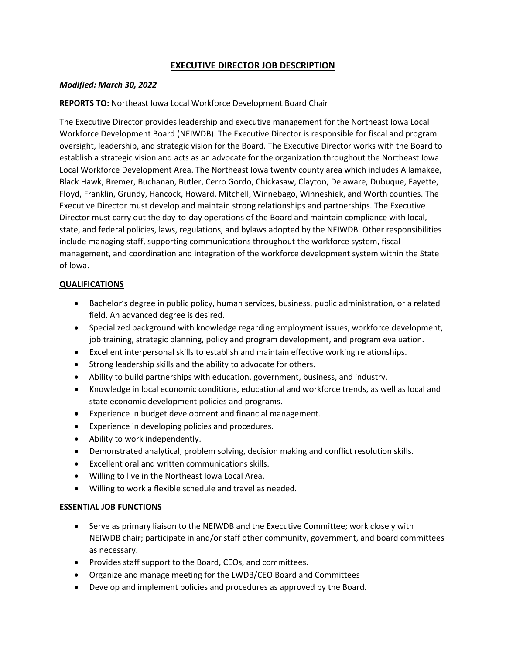# **EXECUTIVE DIRECTOR JOB DESCRIPTION**

### *Modified: March 30, 2022*

### **REPORTS TO:** Northeast Iowa Local Workforce Development Board Chair

The Executive Director provides leadership and executive management for the Northeast Iowa Local Workforce Development Board (NEIWDB). The Executive Director is responsible for fiscal and program oversight, leadership, and strategic vision for the Board. The Executive Director works with the Board to establish a strategic vision and acts as an advocate for the organization throughout the Northeast Iowa Local Workforce Development Area. The Northeast Iowa twenty county area which includes Allamakee, Black Hawk, Bremer, Buchanan, Butler, Cerro Gordo, Chickasaw, Clayton, Delaware, Dubuque, Fayette, Floyd, Franklin, Grundy, Hancock, Howard, Mitchell, Winnebago, Winneshiek, and Worth counties. The Executive Director must develop and maintain strong relationships and partnerships. The Executive Director must carry out the day-to-day operations of the Board and maintain compliance with local, state, and federal policies, laws, regulations, and bylaws adopted by the NEIWDB. Other responsibilities include managing staff, supporting communications throughout the workforce system, fiscal management, and coordination and integration of the workforce development system within the State of Iowa.

### **QUALIFICATIONS**

- Bachelor's degree in public policy, human services, business, public administration, or a related field. An advanced degree is desired.
- Specialized background with knowledge regarding employment issues, workforce development, job training, strategic planning, policy and program development, and program evaluation.
- Excellent interpersonal skills to establish and maintain effective working relationships.
- Strong leadership skills and the ability to advocate for others.
- Ability to build partnerships with education, government, business, and industry.
- Knowledge in local economic conditions, educational and workforce trends, as well as local and state economic development policies and programs.
- Experience in budget development and financial management.
- Experience in developing policies and procedures.
- Ability to work independently.
- Demonstrated analytical, problem solving, decision making and conflict resolution skills.
- Excellent oral and written communications skills.
- Willing to live in the Northeast Iowa Local Area.
- Willing to work a flexible schedule and travel as needed.

### **ESSENTIAL JOB FUNCTIONS**

- Serve as primary liaison to the NEIWDB and the Executive Committee; work closely with NEIWDB chair; participate in and/or staff other community, government, and board committees as necessary.
- Provides staff support to the Board, CEOs, and committees.
- Organize and manage meeting for the LWDB/CEO Board and Committees
- Develop and implement policies and procedures as approved by the Board.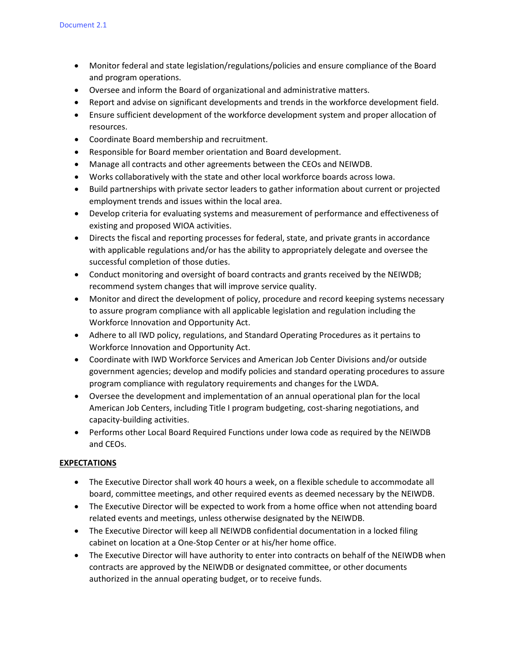- Monitor federal and state legislation/regulations/policies and ensure compliance of the Board and program operations.
- Oversee and inform the Board of organizational and administrative matters.
- Report and advise on significant developments and trends in the workforce development field.
- Ensure sufficient development of the workforce development system and proper allocation of resources.
- Coordinate Board membership and recruitment.
- Responsible for Board member orientation and Board development.
- Manage all contracts and other agreements between the CEOs and NEIWDB.
- Works collaboratively with the state and other local workforce boards across Iowa.
- Build partnerships with private sector leaders to gather information about current or projected employment trends and issues within the local area.
- Develop criteria for evaluating systems and measurement of performance and effectiveness of existing and proposed WIOA activities.
- Directs the fiscal and reporting processes for federal, state, and private grants in accordance with applicable regulations and/or has the ability to appropriately delegate and oversee the successful completion of those duties.
- Conduct monitoring and oversight of board contracts and grants received by the NEIWDB; recommend system changes that will improve service quality.
- Monitor and direct the development of policy, procedure and record keeping systems necessary to assure program compliance with all applicable legislation and regulation including the Workforce Innovation and Opportunity Act.
- Adhere to all IWD policy, regulations, and Standard Operating Procedures as it pertains to Workforce Innovation and Opportunity Act.
- Coordinate with IWD Workforce Services and American Job Center Divisions and/or outside government agencies; develop and modify policies and standard operating procedures to assure program compliance with regulatory requirements and changes for the LWDA.
- Oversee the development and implementation of an annual operational plan for the local American Job Centers, including Title I program budgeting, cost-sharing negotiations, and capacity-building activities.
- Performs other Local Board Required Functions under Iowa code as required by the NEIWDB and CEOs.

## **EXPECTATIONS**

- The Executive Director shall work 40 hours a week, on a flexible schedule to accommodate all board, committee meetings, and other required events as deemed necessary by the NEIWDB.
- The Executive Director will be expected to work from a home office when not attending board related events and meetings, unless otherwise designated by the NEIWDB.
- The Executive Director will keep all NEIWDB confidential documentation in a locked filing cabinet on location at a One-Stop Center or at his/her home office.
- The Executive Director will have authority to enter into contracts on behalf of the NEIWDB when contracts are approved by the NEIWDB or designated committee, or other documents authorized in the annual operating budget, or to receive funds.